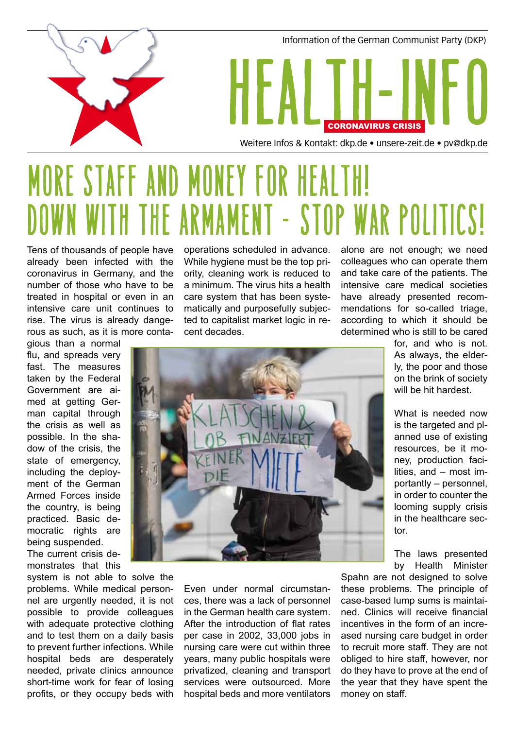

## More staff and money for health! DOWN WITH THE ARMAMENT - STOP WAR POLITICS!

Tens of thousands of people have already been infected with the coronavirus in Germany, and the number of those who have to be treated in hospital or even in an intensive care unit continues to rise. The virus is already dangerous as such, as it is more conta-

gious than a normal flu, and spreads very fast. The measures taken by the Federal Government are aimed at getting German capital through the crisis as well as possible. In the shadow of the crisis, the state of emergency, including the deployment of the German Armed Forces inside the country, is being practiced. Basic democratic rights are being suspended. The current crisis demonstrates that this

system is not able to solve the problems. While medical personnel are urgently needed, it is not possible to provide colleagues with adequate protective clothing and to test them on a daily basis to prevent further infections. While hospital beds are desperately needed, private clinics announce short-time work for fear of losing profits, or they occupy beds with operations scheduled in advance. While hygiene must be the top priority, cleaning work is reduced to a minimum. The virus hits a health care system that has been systematically and purposefully subjected to capitalist market logic in recent decades.

alone are not enough; we need colleagues who can operate them and take care of the patients. The intensive care medical societies have already presented recommendations for so-called triage, according to which it should be determined who is still to be cared

> for, and who is not. As always, the elderly, the poor and those on the brink of society will be hit hardest.

> What is needed now is the targeted and planned use of existing resources, be it money, production facilities, and – most importantly – personnel, in order to counter the looming supply crisis in the healthcare sector.

The laws presented by Health Minister

Spahn are not designed to solve these problems. The principle of case-based lump sums is maintained. Clinics will receive financial incentives in the form of an increased nursing care budget in order to recruit more staff. They are not obliged to hire staff, however, nor do they have to prove at the end of the year that they have spent the money on staff.



Even under normal circumstances, there was a lack of personnel in the German health care system. After the introduction of flat rates per case in 2002, 33,000 jobs in nursing care were cut within three years, many public hospitals were privatized, cleaning and transport services were outsourced. More hospital beds and more ventilators